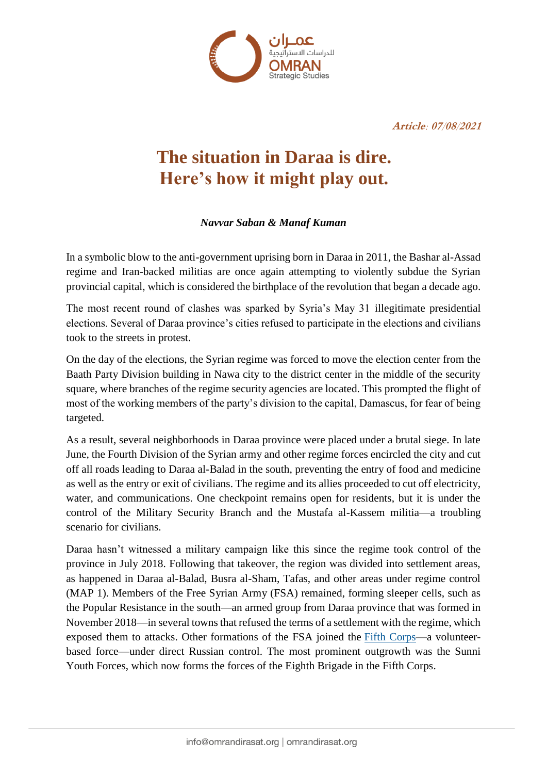

**Article: 07/08/2021**

# **The situation in Daraa is dire. Here's how it might play out.**

## *Navvar Saban & Manaf Kuman*

In a symbolic blow to the anti-government uprising born in Daraa in 2011, the Bashar al-Assad regime and Iran-backed militias are once again attempting to violently subdue the Syrian provincial capital, which is considered the birthplace of the revolution that began a decade ago.

The most recent round of clashes was sparked by Syria's May 31 illegitimate presidential elections. Several of Daraa province's cities refused to participate in the elections and civilians took to the streets in protest.

On the day of the elections, the Syrian regime was forced to move the election center from the Baath Party Division building in Nawa city to the district center in the middle of the security square, where branches of the regime security agencies are located. This prompted the flight of most of the working members of the party's division to the capital, Damascus, for fear of being targeted.

As a result, several neighborhoods in Daraa province were placed under a brutal siege. In late June, the Fourth Division of the Syrian army and other regime forces encircled the city and cut off all roads leading to Daraa al-Balad in the south, preventing the entry of food and medicine as well as the entry or exit of civilians. The regime and its allies proceeded to cut off electricity, water, and communications. One checkpoint remains open for residents, but it is under the control of the Military Security Branch and the Mustafa al-Kassem militia—a troubling scenario for civilians.

Daraa hasn't witnessed a military campaign like this since the regime took control of the province in July 2018. Following that takeover, the region was divided into settlement areas, as happened in Daraa al-Balad, Busra al-Sham, Tafas, and other areas under regime control (MAP 1). Members of the Free Syrian Army (FSA) remained, forming sleeper cells, such as the Popular Resistance in the south—an armed group from Daraa province that was formed in November 2018—in several towns that refused the terms of a settlement with the regime, which exposed them to attacks. Other formations of the FSA joined the [Fifth Corps—](https://www.atlanticcouncil.org/blogs/syriasource/analysis-the-fifth-corps-and-the-state-of-the-syrian-army/)a volunteerbased force—under direct Russian control. The most prominent outgrowth was the Sunni Youth Forces, which now forms the forces of the Eighth Brigade in the Fifth Corps.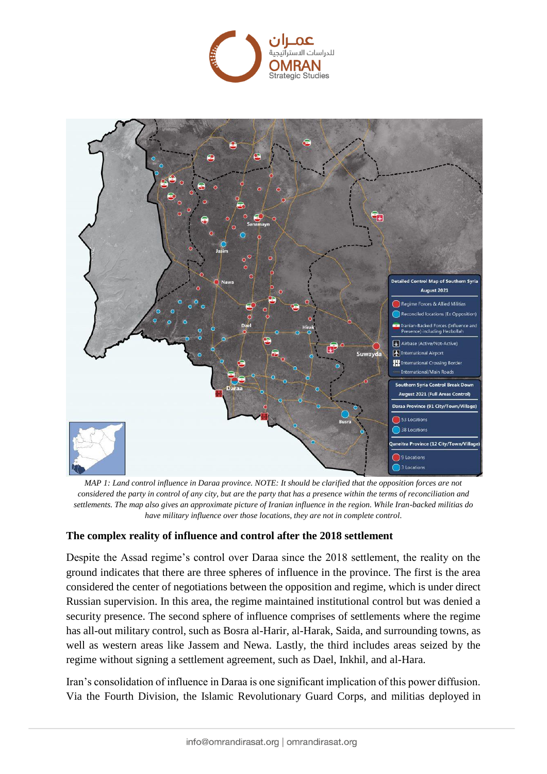



*MAP 1: Land control influence in Daraa province. NOTE: It should be clarified that the opposition forces are not considered the party in control of any city, but are the party that has a presence within the terms of reconciliation and settlements. The map also gives an approximate picture of Iranian influence in the region. While Iran-backed militias do have military influence over those locations, they are not in complete control.*

## **The complex reality of influence and control after the 2018 settlement**

Despite the Assad regime's control over Daraa since the 2018 settlement, the reality on the ground indicates that there are three spheres of influence in the province. The first is the area considered the center of negotiations between the opposition and regime, which is under direct Russian supervision. In this area, the regime maintained institutional control but was denied a security presence. The second sphere of influence comprises of settlements where the regime has all-out military control, such as Bosra al-Harir, al-Harak, Saida, and surrounding towns, as well as western areas like Jassem and Newa. Lastly, the third includes areas seized by the regime without signing a settlement agreement, such as Dael, Inkhil, and al-Hara.

Iran's consolidation of influence in Daraa is one significant implication of this power diffusion. Via the Fourth Division, the Islamic Revolutionary Guard Corps, and militias deployed in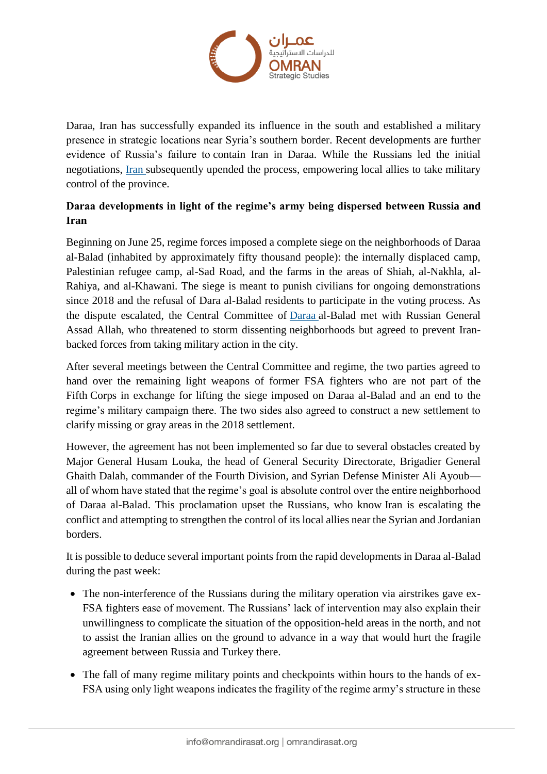

Daraa, Iran has successfully expanded its influence in the south and established a military presence in strategic locations near Syria's southern border. Recent developments are further evidence of Russia's failure to contain Iran in Daraa. While the Russians led the initial negotiations, [Iran](https://syrianobserver.com/uncategorized/68600/4th-division-thwarts-agreement-in-daraa.html) subsequently upended the process, empowering local allies to take military control of the province.

# **Daraa developments in light of the regime's army being dispersed between Russia and Iran**

Beginning on June 25, regime forces imposed a complete siege on the neighborhoods of Daraa al-Balad (inhabited by approximately fifty thousand people): the internally displaced camp, Palestinian refugee camp, al-Sad Road, and the farms in the areas of Shiah, al-Nakhla, al-Rahiya, and al-Khawani. The siege is meant to punish civilians for ongoing demonstrations since 2018 and the refusal of Dara al-Balad residents to participate in the voting process. As the dispute escalated, the Central Committee of [Daraa](https://www.alhurra.com/syria/2021/08/03/%D8%B9%D8%B1%D8%B6-%D8%A3%D8%B3%D8%AF-%D8%A7%D9%84%D9%84%D9%87-%D9%85%D8%B1%D9%81%D9%88%D8%B6-%D9%88%D9%85%D9%88%D9%82%D9%81-%D8%A7%D9%84%D8%B7%D9%8A%D8%B1%D8%A7%D9%86-%D8%A7%D9%84%D8%B1%D9%88%D8%B3%D9%8A-%D9%85%D9%84%D9%81%D8%AA-%D9%8A%D8%AC%D8%B1%D9%8A-%D9%81%D9%8A-%D8%AF%D8%B1%D8%B9%D8%A7-%D8%A7%D9%84%D8%B3%D9%88%D8%B1%D9%8A%D8%A9%D8%9F) al-Balad met with Russian General Assad Allah, who threatened to storm dissenting neighborhoods but agreed to prevent Iranbacked forces from taking military action in the city.

After several meetings between the Central Committee and regime, the two parties agreed to hand over the remaining light weapons of former FSA fighters who are not part of the Fifth Corps in exchange for lifting the siege imposed on Daraa al-Balad and an end to the regime's military campaign there. The two sides also agreed to construct a new settlement to clarify missing or gray areas in the 2018 settlement.

However, the agreement has not been implemented so far due to several obstacles created by Major General Husam Louka, the head of General Security Directorate, Brigadier General Ghaith Dalah, commander of the Fourth Division, and Syrian Defense Minister Ali Ayoub all of whom have stated that the regime's goal is absolute control over the entire neighborhood of Daraa al-Balad. This proclamation upset the Russians, who know Iran is escalating the conflict and attempting to strengthen the control of its local allies near the Syrian and Jordanian borders.

It is possible to deduce several important points from the rapid developments in Daraa al-Balad during the past week:

- The non-interference of the Russians during the military operation via airstrikes gave ex-FSA fighters ease of movement. The Russians' lack of intervention may also explain their unwillingness to complicate the situation of the opposition-held areas in the north, and not to assist the Iranian allies on the ground to advance in a way that would hurt the fragile agreement between Russia and Turkey there.
- The fall of many regime military points and checkpoints within hours to the hands of ex-FSA using only light weapons indicates the fragility of the regime army's structure in these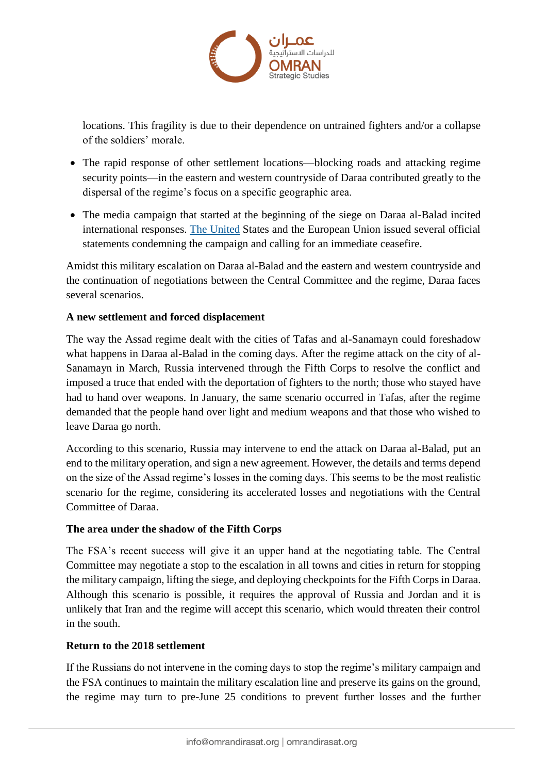

locations. This fragility is due to their dependence on untrained fighters and/or a collapse of the soldiers' morale.

- The rapid response of other settlement locations—blocking roads and attacking regime security points—in the eastern and western countryside of Daraa contributed greatly to the dispersal of the regime's focus on a specific geographic area.
- The media campaign that started at the beginning of the siege on Daraa al-Balad incited international responses. [The United](https://www.aa.com.tr/en/americas/us-condemns-regimes-brutal-assault-on-syrias-daraa/2324568) States and the European Union issued several official statements condemning the campaign and calling for an immediate ceasefire.

Amidst this military escalation on Daraa al-Balad and the eastern and western countryside and the continuation of negotiations between the Central Committee and the regime, Daraa faces several scenarios.

# **A new settlement and forced displacement**

The way the Assad regime dealt with the cities of Tafas and al-Sanamayn could foreshadow what happens in Daraa al-Balad in the coming days. After the regime attack on the city of al-Sanamayn in March, Russia intervened through the Fifth Corps to resolve the conflict and imposed a truce that ended with the deportation of fighters to the north; those who stayed have had to hand over weapons. In January, the same scenario occurred in Tafas, after the regime demanded that the people hand over light and medium weapons and that those who wished to leave Daraa go north.

According to this scenario, Russia may intervene to end the attack on Daraa al-Balad, put an end to the military operation, and sign a new agreement. However, the details and terms depend on the size of the Assad regime's losses in the coming days. This seems to be the most realistic scenario for the regime, considering its accelerated losses and negotiations with the Central Committee of Daraa.

## **The area under the shadow of the Fifth Corps**

The FSA's recent success will give it an upper hand at the negotiating table. The Central Committee may negotiate a stop to the escalation in all towns and cities in return for stopping the military campaign, lifting the siege, and deploying checkpoints for the Fifth Corps in Daraa. Although this scenario is possible, it requires the approval of Russia and Jordan and it is unlikely that Iran and the regime will accept this scenario, which would threaten their control in the south.

## **Return to the 2018 settlement**

If the Russians do not intervene in the coming days to stop the regime's military campaign and the FSA continues to maintain the military escalation line and preserve its gains on the ground, the regime may turn to pre-June 25 conditions to prevent further losses and the further